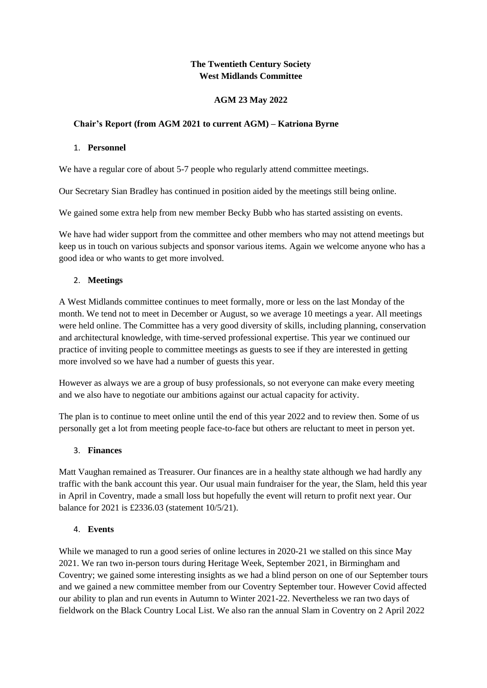# **The Twentieth Century Society West Midlands Committee**

# **AGM 23 May 2022**

### **Chair's Report (from AGM 2021 to current AGM) – Katriona Byrne**

#### 1. **Personnel**

We have a regular core of about 5-7 people who regularly attend committee meetings.

Our Secretary Sian Bradley has continued in position aided by the meetings still being online.

We gained some extra help from new member Becky Bubb who has started assisting on events.

We have had wider support from the committee and other members who may not attend meetings but keep us in touch on various subjects and sponsor various items. Again we welcome anyone who has a good idea or who wants to get more involved.

# 2. **Meetings**

A West Midlands committee continues to meet formally, more or less on the last Monday of the month. We tend not to meet in December or August, so we average 10 meetings a year. All meetings were held online. The Committee has a very good diversity of skills, including planning, conservation and architectural knowledge, with time-served professional expertise. This year we continued our practice of inviting people to committee meetings as guests to see if they are interested in getting more involved so we have had a number of guests this year.

However as always we are a group of busy professionals, so not everyone can make every meeting and we also have to negotiate our ambitions against our actual capacity for activity.

The plan is to continue to meet online until the end of this year 2022 and to review then. Some of us personally get a lot from meeting people face-to-face but others are reluctant to meet in person yet.

# 3. **Finances**

Matt Vaughan remained as Treasurer. Our finances are in a healthy state although we had hardly any traffic with the bank account this year. Our usual main fundraiser for the year, the Slam, held this year in April in Coventry, made a small loss but hopefully the event will return to profit next year. Our balance for 2021 is £2336.03 (statement 10/5/21).

# 4. **Events**

While we managed to run a good series of online lectures in 2020-21 we stalled on this since May 2021. We ran two in-person tours during Heritage Week, September 2021, in Birmingham and Coventry; we gained some interesting insights as we had a blind person on one of our September tours and we gained a new committee member from our Coventry September tour. However Covid affected our ability to plan and run events in Autumn to Winter 2021-22. Nevertheless we ran two days of fieldwork on the Black Country Local List. We also ran the annual Slam in Coventry on 2 April 2022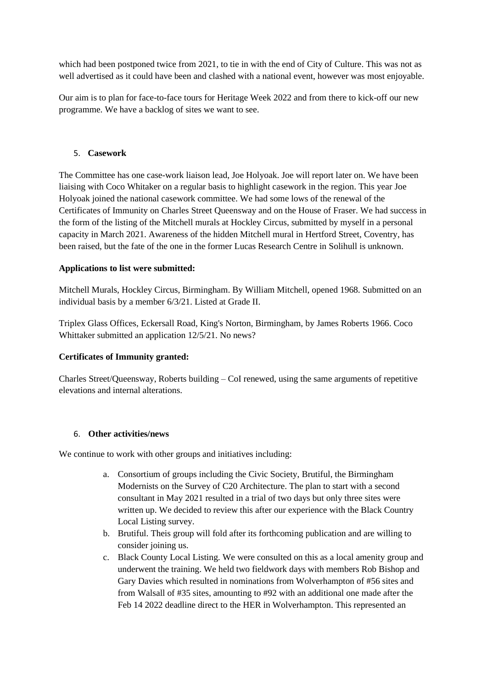which had been postponed twice from 2021, to tie in with the end of City of Culture. This was not as well advertised as it could have been and clashed with a national event, however was most enjoyable.

Our aim is to plan for face-to-face tours for Heritage Week 2022 and from there to kick-off our new programme. We have a backlog of sites we want to see.

### 5. **Casework**

The Committee has one case-work liaison lead, Joe Holyoak. Joe will report later on. We have been liaising with Coco Whitaker on a regular basis to highlight casework in the region. This year Joe Holyoak joined the national casework committee. We had some lows of the renewal of the Certificates of Immunity on Charles Street Queensway and on the House of Fraser. We had success in the form of the listing of the Mitchell murals at Hockley Circus, submitted by myself in a personal capacity in March 2021. Awareness of the hidden Mitchell mural in Hertford Street, Coventry, has been raised, but the fate of the one in the former Lucas Research Centre in Solihull is unknown.

### **Applications to list were submitted:**

Mitchell Murals, Hockley Circus, Birmingham. By William Mitchell, opened 1968. Submitted on an individual basis by a member 6/3/21. Listed at Grade II.

Triplex Glass Offices, Eckersall Road, King's Norton, Birmingham, by James Roberts 1966. Coco Whittaker submitted an application 12/5/21. No news?

#### **Certificates of Immunity granted:**

Charles Street/Queensway, Roberts building – CoI renewed, using the same arguments of repetitive elevations and internal alterations.

#### 6. **Other activities/news**

We continue to work with other groups and initiatives including:

- a. Consortium of groups including the Civic Society, Brutiful, the Birmingham Modernists on the Survey of C20 Architecture. The plan to start with a second consultant in May 2021 resulted in a trial of two days but only three sites were written up. We decided to review this after our experience with the Black Country Local Listing survey.
- b. Brutiful. Theis group will fold after its forthcoming publication and are willing to consider joining us.
- c. Black County Local Listing. We were consulted on this as a local amenity group and underwent the training. We held two fieldwork days with members Rob Bishop and Gary Davies which resulted in nominations from Wolverhampton of #56 sites and from Walsall of #35 sites, amounting to #92 with an additional one made after the Feb 14 2022 deadline direct to the HER in Wolverhampton. This represented an